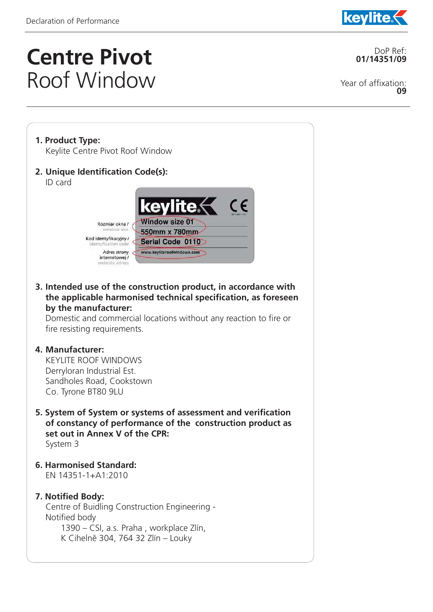

## **Centre Pivot** Roof Window

DoP Ref: **01/14351/09**

Year of affixation: **09**